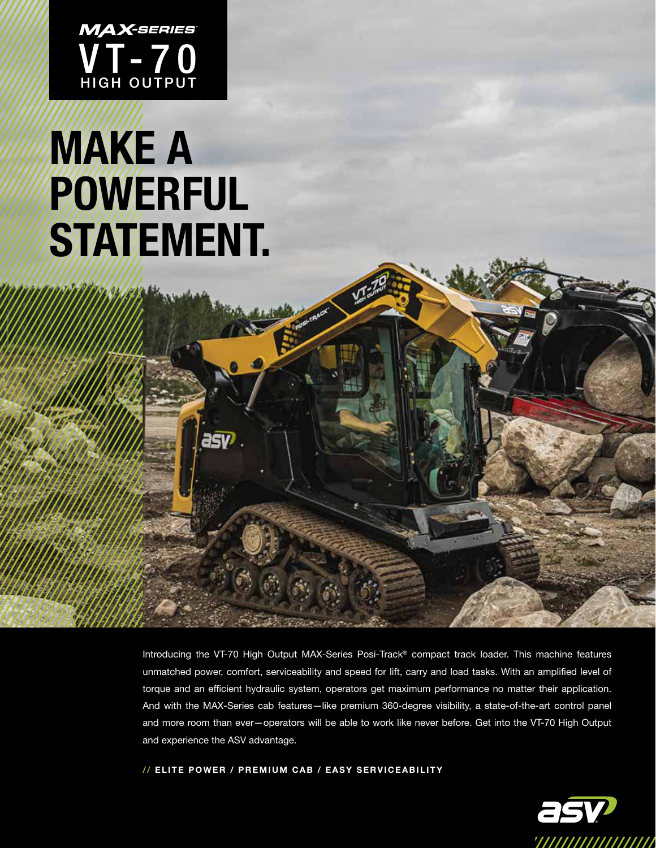

## MAKE A POWERFUL STATEMENT.

asy

Introducing the VT-70 High Output MAX-Series Posi-Track® compact track loader. This machine features unmatched power, comfort, serviceability and speed for lift, carry and load tasks. With an amplified level of torque and an efficient hydraulic system, operators get maximum performance no matter their application. And with the MAX-Series cab features—like premium 360-degree visibility, a state-of-the-art control panel and more room than ever—operators will be able to work like never before. Get into the VT-70 High Output and experience the ASV advantage.

// ELITE POWER / PREMIUM CAB / EASY SERVICEABILITY